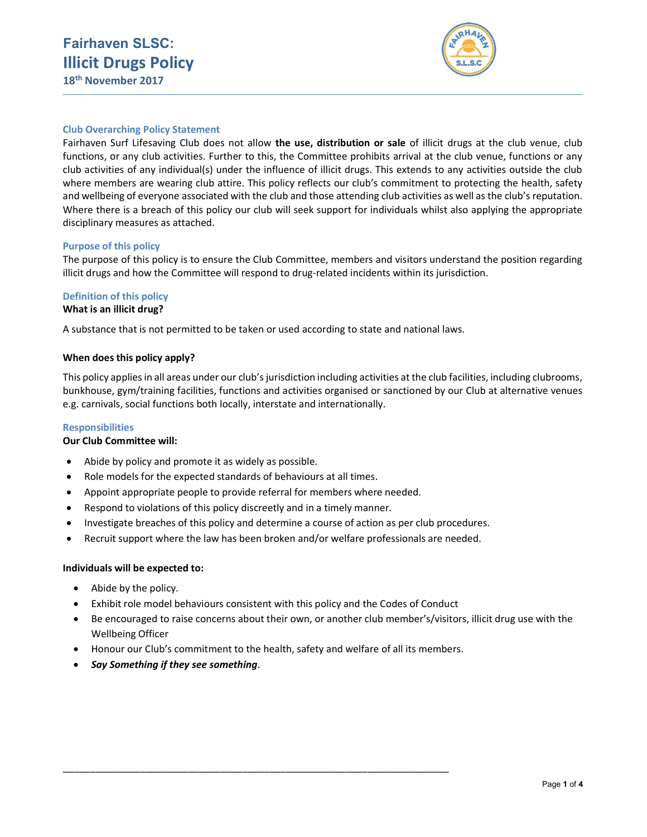

# Club Overarching Policy Statement

Fairhaven Surf Lifesaving Club does not allow the use, distribution or sale of illicit drugs at the club venue, club functions, or any club activities. Further to this, the Committee prohibits arrival at the club venue, functions or any club activities of any individual(s) under the influence of illicit drugs. This extends to any activities outside the club where members are wearing club attire. This policy reflects our club's commitment to protecting the health, safety and wellbeing of everyone associated with the club and those attending club activities as well as the club's reputation. Where there is a breach of this policy our club will seek support for individuals whilst also applying the appropriate disciplinary measures as attached.

## Purpose of this policy

The purpose of this policy is to ensure the Club Committee, members and visitors understand the position regarding illicit drugs and how the Committee will respond to drug-related incidents within its jurisdiction.

# Definition of this policy

## What is an illicit drug?

A substance that is not permitted to be taken or used according to state and national laws.

### When does this policy apply?

This policy applies in all areas under our club's jurisdiction including activities at the club facilities, including clubrooms, bunkhouse, gym/training facilities, functions and activities organised or sanctioned by our Club at alternative venues e.g. carnivals, social functions both locally, interstate and internationally.

## Responsibilities

## Our Club Committee will:

- Abide by policy and promote it as widely as possible.
- Role models for the expected standards of behaviours at all times.
- Appoint appropriate people to provide referral for members where needed.
- Respond to violations of this policy discreetly and in a timely manner.
- Investigate breaches of this policy and determine a course of action as per club procedures.
- Recruit support where the law has been broken and/or welfare professionals are needed.

#### Individuals will be expected to:

- Abide by the policy.
- Exhibit role model behaviours consistent with this policy and the Codes of Conduct
- Be encouraged to raise concerns about their own, or another club member's/visitors, illicit drug use with the Wellbeing Officer
- Honour our Club's commitment to the health, safety and welfare of all its members.

\_\_\_\_\_\_\_\_\_\_\_\_\_\_\_\_\_\_\_\_\_\_\_\_\_\_\_\_\_\_\_\_\_\_\_\_\_\_\_\_\_\_\_\_\_\_\_\_\_\_\_\_\_\_\_\_\_\_\_\_\_\_\_\_\_\_\_\_\_\_\_

• Say Something if they see something.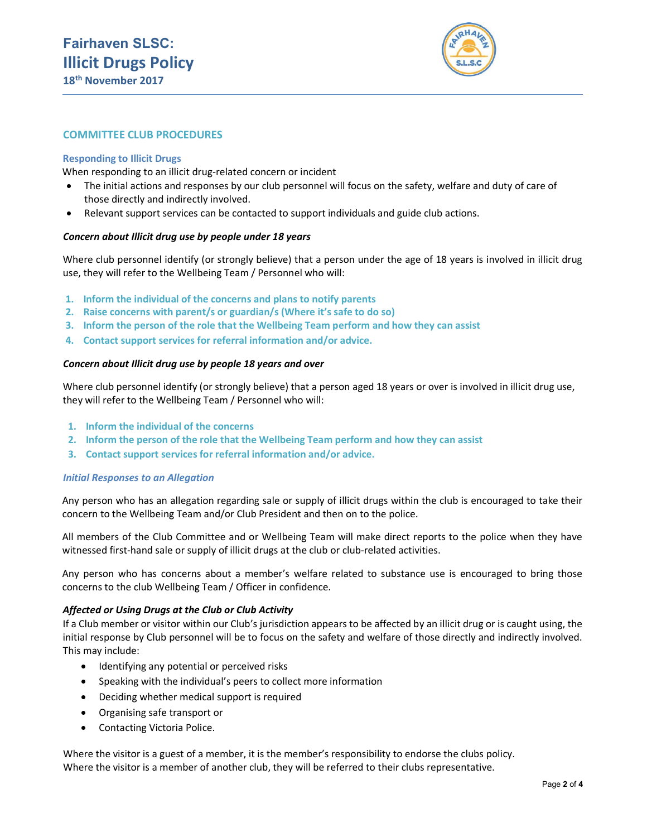

## COMMITTEE CLUB PROCEDURES

### Responding to Illicit Drugs

When responding to an illicit drug-related concern or incident

- The initial actions and responses by our club personnel will focus on the safety, welfare and duty of care of those directly and indirectly involved.
- Relevant support services can be contacted to support individuals and guide club actions.

### Concern about Illicit drug use by people under 18 years

Where club personnel identify (or strongly believe) that a person under the age of 18 years is involved in illicit drug use, they will refer to the Wellbeing Team / Personnel who will:

- 1. Inform the individual of the concerns and plans to notify parents
- 2. Raise concerns with parent/s or guardian/s (Where it's safe to do so)
- 3. Inform the person of the role that the Wellbeing Team perform and how they can assist
- 4. Contact support services for referral information and/or advice.

### Concern about Illicit drug use by people 18 years and over

Where club personnel identify (or strongly believe) that a person aged 18 years or over is involved in illicit drug use, they will refer to the Wellbeing Team / Personnel who will:

- 1. Inform the individual of the concerns
- 2. Inform the person of the role that the Wellbeing Team perform and how they can assist
- 3. Contact support services for referral information and/or advice.

#### Initial Responses to an Allegation

Any person who has an allegation regarding sale or supply of illicit drugs within the club is encouraged to take their concern to the Wellbeing Team and/or Club President and then on to the police.

All members of the Club Committee and or Wellbeing Team will make direct reports to the police when they have witnessed first-hand sale or supply of illicit drugs at the club or club-related activities.

Any person who has concerns about a member's welfare related to substance use is encouraged to bring those concerns to the club Wellbeing Team / Officer in confidence.

#### Affected or Using Drugs at the Club or Club Activity

If a Club member or visitor within our Club's jurisdiction appears to be affected by an illicit drug or is caught using, the initial response by Club personnel will be to focus on the safety and welfare of those directly and indirectly involved. This may include:

- Identifying any potential or perceived risks
- Speaking with the individual's peers to collect more information
- Deciding whether medical support is required
- Organising safe transport or
- Contacting Victoria Police.

Where the visitor is a guest of a member, it is the member's responsibility to endorse the clubs policy. Where the visitor is a member of another club, they will be referred to their clubs representative.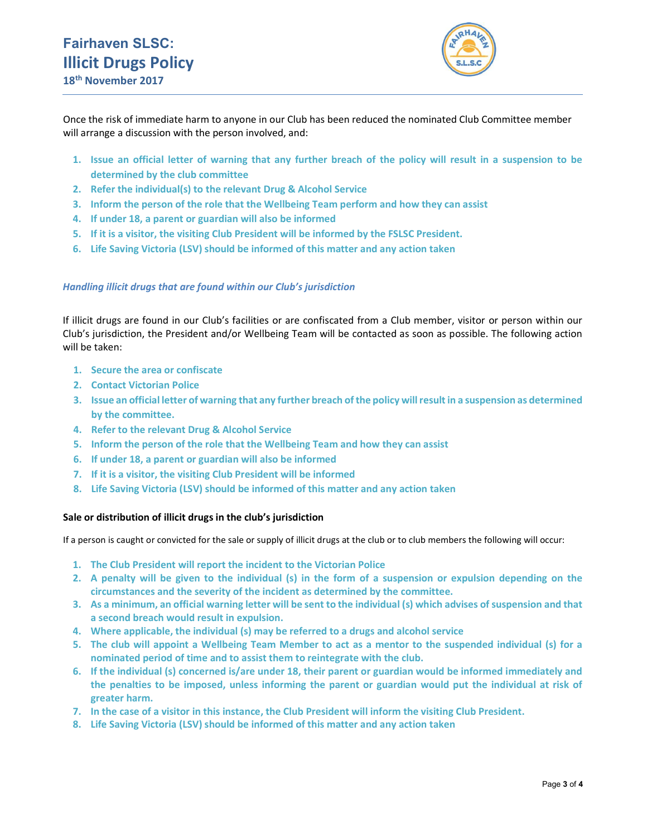

Once the risk of immediate harm to anyone in our Club has been reduced the nominated Club Committee member will arrange a discussion with the person involved, and:

- 1. Issue an official letter of warning that any further breach of the policy will result in a suspension to be determined by the club committee
- 2. Refer the individual(s) to the relevant Drug & Alcohol Service
- 3. Inform the person of the role that the Wellbeing Team perform and how they can assist
- 4. If under 18, a parent or guardian will also be informed
- 5. If it is a visitor, the visiting Club President will be informed by the FSLSC President.
- 6. Life Saving Victoria (LSV) should be informed of this matter and any action taken

## Handling illicit drugs that are found within our Club's jurisdiction

If illicit drugs are found in our Club's facilities or are confiscated from a Club member, visitor or person within our Club's jurisdiction, the President and/or Wellbeing Team will be contacted as soon as possible. The following action will be taken:

- 1. Secure the area or confiscate
- 2. Contact Victorian Police
- 3. Issue an official letter of warning that any further breach of the policy will result in a suspension as determined by the committee.
- 4. Refer to the relevant Drug & Alcohol Service
- 5. Inform the person of the role that the Wellbeing Team and how they can assist
- 6. If under 18, a parent or guardian will also be informed
- 7. If it is a visitor, the visiting Club President will be informed
- 8. Life Saving Victoria (LSV) should be informed of this matter and any action taken

## Sale or distribution of illicit drugs in the club's jurisdiction

If a person is caught or convicted for the sale or supply of illicit drugs at the club or to club members the following will occur:

- 1. The Club President will report the incident to the Victorian Police
- 2. A penalty will be given to the individual (s) in the form of a suspension or expulsion depending on the circumstances and the severity of the incident as determined by the committee.
- 3. As a minimum, an official warning letter will be sent to the individual (s) which advises of suspension and that a second breach would result in expulsion.
- 4. Where applicable, the individual (s) may be referred to a drugs and alcohol service
- 5. The club will appoint a Wellbeing Team Member to act as a mentor to the suspended individual (s) for a nominated period of time and to assist them to reintegrate with the club.
- 6. If the individual (s) concerned is/are under 18, their parent or guardian would be informed immediately and the penalties to be imposed, unless informing the parent or guardian would put the individual at risk of greater harm.
- 7. In the case of a visitor in this instance, the Club President will inform the visiting Club President.
- 8. Life Saving Victoria (LSV) should be informed of this matter and any action taken